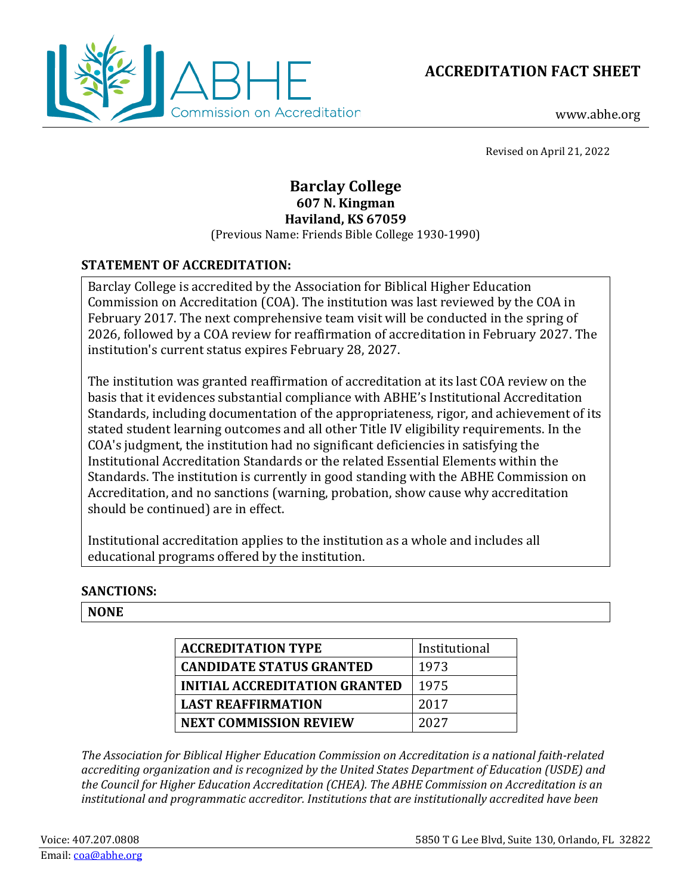



www.abhe.org

Revised on April 21, 2022

# **Barclay College 607 N. Kingman Haviland, KS 67059**

(Previous Name: Friends Bible College 1930-1990)

# **STATEMENT OF ACCREDITATION:**

Barclay College is accredited by the Association for Biblical Higher Education Commission on Accreditation (COA). The institution was last reviewed by the COA in February 2017. The next comprehensive team visit will be conducted in the spring of 2026, followed by a COA review for reaffirmation of accreditation in February 2027. The institution's current status expires February 28, 2027.

The institution was granted reaffirmation of accreditation at its last COA review on the basis that it evidences substantial compliance with ABHE's Institutional Accreditation Standards, including documentation of the appropriateness, rigor, and achievement of its stated student learning outcomes and all other Title IV eligibility requirements. In the COA's judgment, the institution had no significant deficiencies in satisfying the Institutional Accreditation Standards or the related Essential Elements within the Standards. The institution is currently in good standing with the ABHE Commission on Accreditation, and no sanctions (warning, probation, show cause why accreditation should be continued) are in effect.

Institutional accreditation applies to the institution as a whole and includes all educational programs offered by the institution.

# **SANCTIONS:**

#### **NONE**

| <b>ACCREDITATION TYPE</b>            | Institutional |
|--------------------------------------|---------------|
| <b>CANDIDATE STATUS GRANTED</b>      | 1973          |
| <b>INITIAL ACCREDITATION GRANTED</b> | 1975          |
| <b>LAST REAFFIRMATION</b>            | 2017          |
| <b>NEXT COMMISSION REVIEW</b>        | 2027          |

*The Association for Biblical Higher Education Commission on Accreditation is a national faith-related accrediting organization and is recognized by the United States Department of Education (USDE) and the Council for Higher Education Accreditation (CHEA). The ABHE Commission on Accreditation is an institutional and programmatic accreditor. Institutions that are institutionally accredited have been*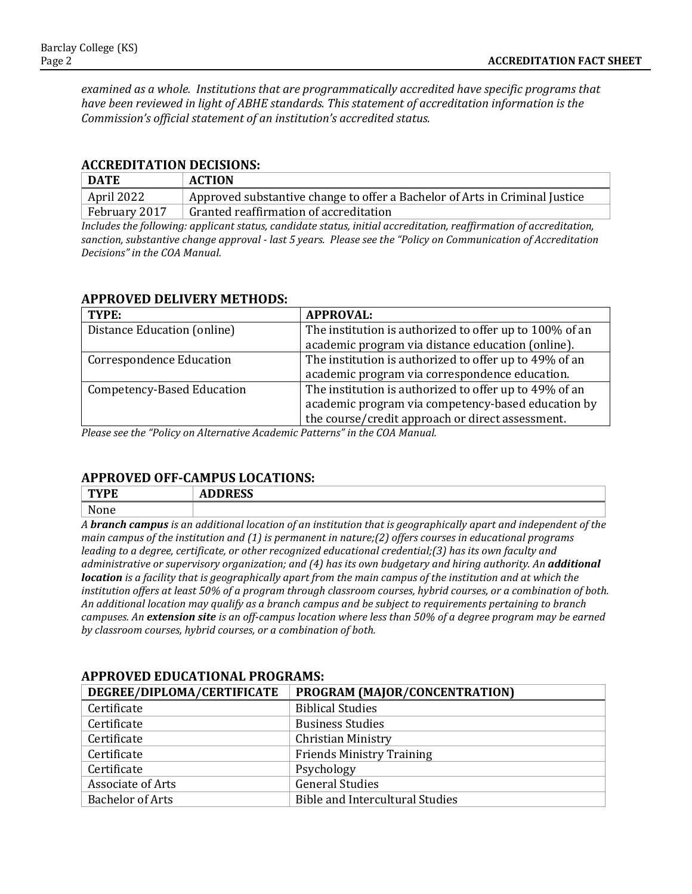*examined as a whole. Institutions that are programmatically accredited have specific programs that have been reviewed in light of ABHE standards. This statement of accreditation information is the Commission's official statement of an institution's accredited status.*

#### **ACCREDITATION DECISIONS:**

| <b>DATE</b>   | <b>ACTION</b>                                                               |
|---------------|-----------------------------------------------------------------------------|
| April 2022    | Approved substantive change to offer a Bachelor of Arts in Criminal Justice |
| February 2017 | Granted reaffirmation of accreditation                                      |

*Includes the following: applicant status, candidate status, initial accreditation, reaffirmation of accreditation, sanction, substantive change approval - last 5 years. Please see the "Policy on Communication of Accreditation Decisions" in the COA Manual.*

#### **APPROVED DELIVERY METHODS:**

| TYPE:                             | <b>APPROVAL:</b>                                        |
|-----------------------------------|---------------------------------------------------------|
| Distance Education (online)       | The institution is authorized to offer up to 100% of an |
|                                   | academic program via distance education (online).       |
| <b>Correspondence Education</b>   | The institution is authorized to offer up to 49% of an  |
|                                   | academic program via correspondence education.          |
| <b>Competency-Based Education</b> | The institution is authorized to offer up to 49% of an  |
|                                   | academic program via competency-based education by      |
|                                   | the course/credit approach or direct assessment.        |

*Please see the "Policy on Alternative Academic Patterns" in the COA Manual.*

# **APPROVED OFF-CAMPUS LOCATIONS:**

| T''                     | <b>DDDDCC</b><br>ADDINEJJ |   |  |  |  |  |                      |  |               |     |               |
|-------------------------|---------------------------|---|--|--|--|--|----------------------|--|---------------|-----|---------------|
| $N$ one<br><b>NOILE</b> |                           |   |  |  |  |  |                      |  |               |     |               |
| .                       | .                         | . |  |  |  |  | $\sim$ $\sim$ $\sim$ |  | $\sim$ $\sim$ | . . | $\sim$ $\sim$ |

*A branch campus is an additional location of an institution that is geographically apart and independent of the main campus of the institution and (1) is permanent in nature;(2) offers courses in educational programs leading to a degree, certificate, or other recognized educational credential;(3) has its own faculty and administrative or supervisory organization; and (4) has its own budgetary and hiring authority. An additional location is a facility that is geographically apart from the main campus of the institution and at which the institution offers at least 50% of a program through classroom courses, hybrid courses, or a combination of both. An additional location may qualify as a branch campus and be subject to requirements pertaining to branch campuses. An extension site is an off-campus location where less than 50% of a degree program may be earned by classroom courses, hybrid courses, or a combination of both.*

| IN LIW LED BDOULLIVIIIE LIWURITIO |                                        |  |  |  |  |
|-----------------------------------|----------------------------------------|--|--|--|--|
| DEGREE/DIPLOMA/CERTIFICATE        | PROGRAM (MAJOR/CONCENTRATION)          |  |  |  |  |
| Certificate                       | <b>Biblical Studies</b>                |  |  |  |  |
| Certificate                       | <b>Business Studies</b>                |  |  |  |  |
| Certificate                       | <b>Christian Ministry</b>              |  |  |  |  |
| Certificate                       | <b>Friends Ministry Training</b>       |  |  |  |  |
| Certificate                       | Psychology                             |  |  |  |  |
| Associate of Arts                 | <b>General Studies</b>                 |  |  |  |  |
| <b>Bachelor of Arts</b>           | <b>Bible and Intercultural Studies</b> |  |  |  |  |
|                                   |                                        |  |  |  |  |

# **APPROVED EDUCATIONAL PROGRAMS:**